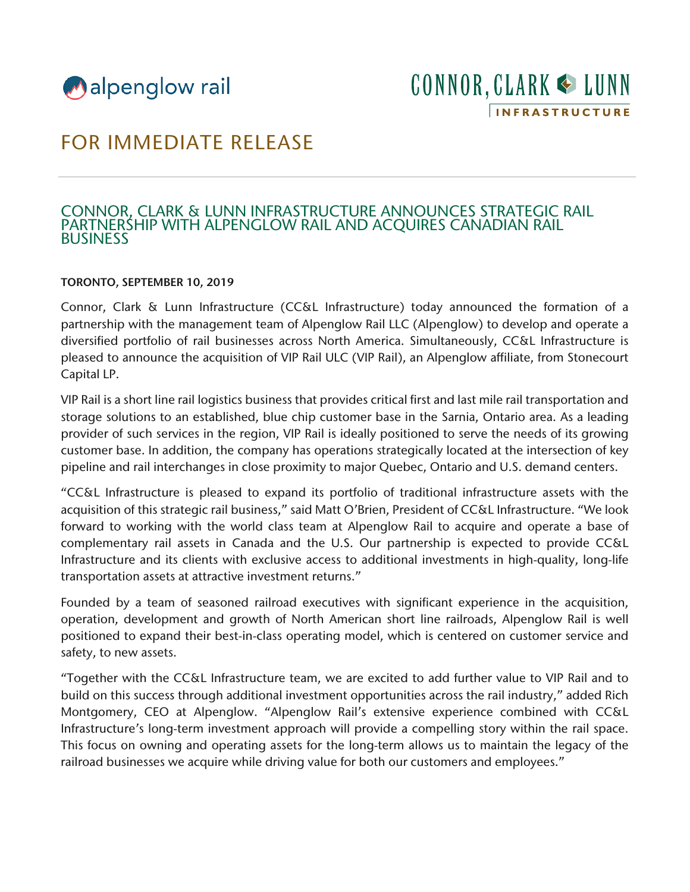

# FOR IMMEDIATE RELEASE

## CONNOR, CLARK & LUNN INFRASTRUCTURE ANNOUNCES STRATEGIC RAIL PARTNERSHIP WITH ALPENGLOW RAIL AND ACQUIRES CANADIAN RAIL BUSINESS

### TORONTO, SEPTEMBER 10, 2019

Connor, Clark & Lunn Infrastructure (CC&L Infrastructure) today announced the formation of a partnership with the management team of Alpenglow Rail LLC (Alpenglow) to develop and operate a diversified portfolio of rail businesses across North America. Simultaneously, CC&L Infrastructure is pleased to announce the acquisition of VIP Rail ULC (VIP Rail), an Alpenglow affiliate, from Stonecourt Capital LP.

VIP Rail is a short line rail logistics business that provides critical first and last mile rail transportation and storage solutions to an established, blue chip customer base in the Sarnia, Ontario area. As a leading provider of such services in the region, VIP Rail is ideally positioned to serve the needs of its growing customer base. In addition, the company has operations strategically located at the intersection of key pipeline and rail interchanges in close proximity to major Quebec, Ontario and U.S. demand centers.

"CC&L Infrastructure is pleased to expand its portfolio of traditional infrastructure assets with the acquisition of this strategic rail business," said Matt O'Brien, President of CC&L Infrastructure. "We look forward to working with the world class team at Alpenglow Rail to acquire and operate a base of complementary rail assets in Canada and the U.S. Our partnership is expected to provide CC&L Infrastructure and its clients with exclusive access to additional investments in high-quality, long-life transportation assets at attractive investment returns."

Founded by a team of seasoned railroad executives with significant experience in the acquisition, operation, development and growth of North American short line railroads, Alpenglow Rail is well positioned to expand their best-in-class operating model, which is centered on customer service and safety, to new assets.

"Together with the CC&L Infrastructure team, we are excited to add further value to VIP Rail and to build on this success through additional investment opportunities across the rail industry," added Rich Montgomery, CEO at Alpenglow. "Alpenglow Rail's extensive experience combined with CC&L Infrastructure's long-term investment approach will provide a compelling story within the rail space. This focus on owning and operating assets for the long-term allows us to maintain the legacy of the railroad businesses we acquire while driving value for both our customers and employees."